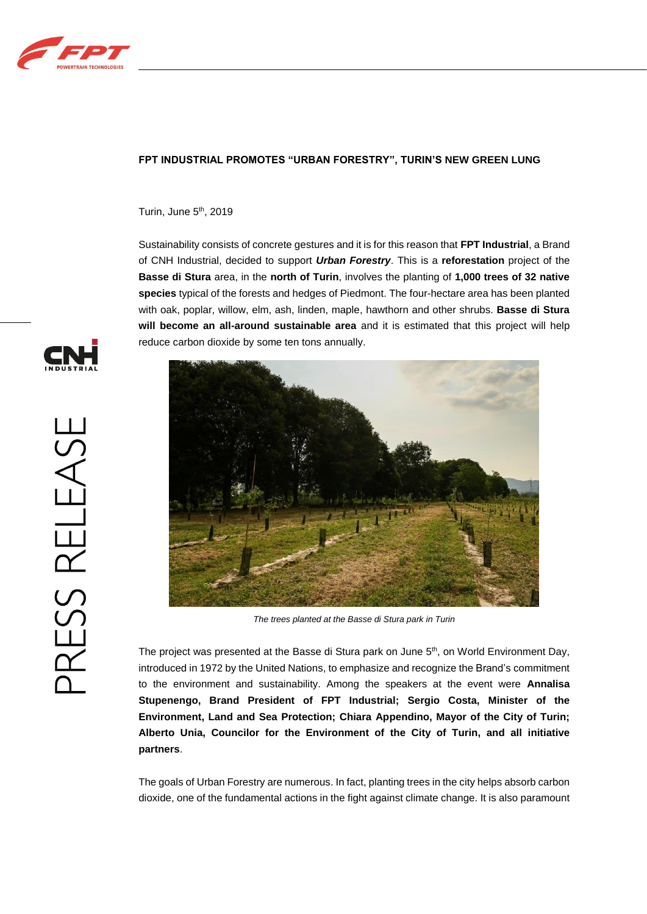

## **FPT INDUSTRIAL PROMOTES "URBAN FORESTRY", TURIN'S NEW GREEN LUNG**

Turin, June 5<sup>th</sup>, 2019

Sustainability consists of concrete gestures and it is for this reason that **FPT Industrial**, a Brand of CNH Industrial, decided to support *Urban Forestry*. This is a **reforestation** project of the **Basse di Stura** area, in the **north of Turin**, involves the planting of **1,000 trees of 32 native species** typical of the forests and hedges of Piedmont. The four-hectare area has been planted with oak, poplar, willow, elm, ash, linden, maple, hawthorn and other shrubs. **Basse di Stura will become an all-around sustainable area** and it is estimated that this project will help reduce carbon dioxide by some ten tons annually.



*The trees planted at the Basse di Stura park in Turin*

The project was presented at the Basse di Stura park on June  $5<sup>th</sup>$ , on World Environment Day, introduced in 1972 by the United Nations, to emphasize and recognize the Brand's commitment to the environment and sustainability. Among the speakers at the event were **Annalisa Stupenengo, Brand President of FPT Industrial; Sergio Costa, Minister of the Environment, Land and Sea Protection; Chiara Appendino, Mayor of the City of Turin; Alberto Unia, Councilor for the Environment of the City of Turin, and all initiative partners**.

The goals of Urban Forestry are numerous. In fact, planting trees in the city helps absorb carbon dioxide, one of the fundamental actions in the fight against climate change. It is also paramount

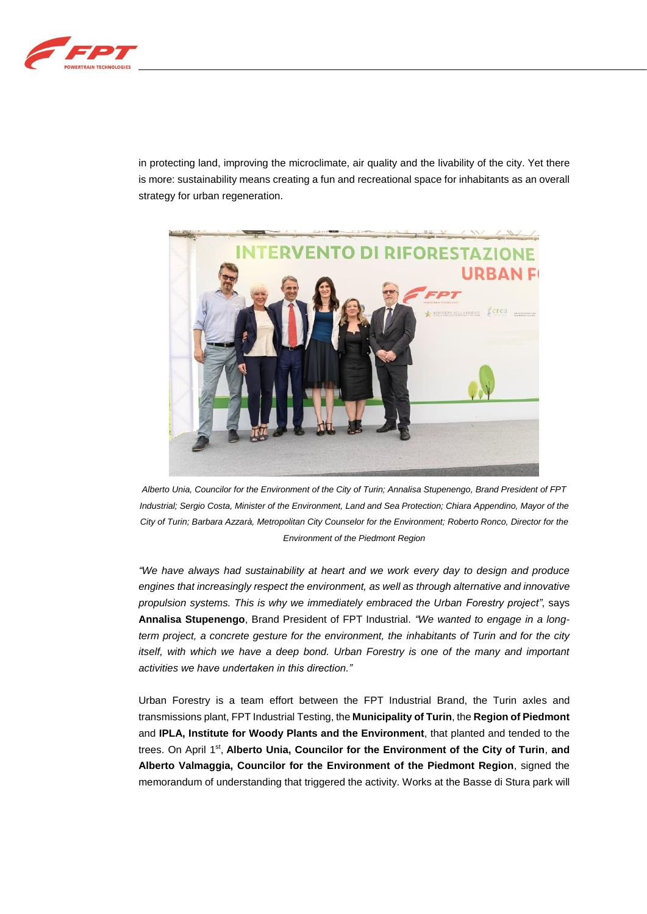

in protecting land, improving the microclimate, air quality and the livability of the city. Yet there is more: sustainability means creating a fun and recreational space for inhabitants as an overall strategy for urban regeneration.



*Alberto Unia, Councilor for the Environment of the City of Turin; Annalisa Stupenengo, Brand President of FPT Industrial; Sergio Costa, Minister of the Environment, Land and Sea Protection; Chiara Appendino, Mayor of the City of Turin; Barbara Azzarà, Metropolitan City Counselor for the Environment; Roberto Ronco, Director for the Environment of the Piedmont Region*

*"We have always had sustainability at heart and we work every day to design and produce engines that increasingly respect the environment, as well as through alternative and innovative propulsion systems. This is why we immediately embraced the Urban Forestry project"*, says **Annalisa Stupenengo**, Brand President of FPT Industrial. *"We wanted to engage in a longterm project, a concrete gesture for the environment, the inhabitants of Turin and for the city itself, with which we have a deep bond. Urban Forestry is one of the many and important activities we have undertaken in this direction."*

Urban Forestry is a team effort between the FPT Industrial Brand, the Turin axles and transmissions plant, FPT Industrial Testing, the **Municipality of Turin**, the **Region of Piedmont** and **IPLA, Institute for Woody Plants and the Environment**, that planted and tended to the trees. On April 1<sup>st</sup>, Alberto Unia, Councilor for the Environment of the City of Turin, and **Alberto Valmaggia, Councilor for the Environment of the Piedmont Region**, signed the memorandum of understanding that triggered the activity. Works at the Basse di Stura park will